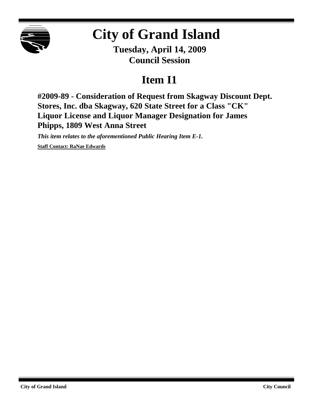

## **City of Grand Island**

**Tuesday, April 14, 2009 Council Session**

## **Item I1**

**#2009-89 - Consideration of Request from Skagway Discount Dept. Stores, Inc. dba Skagway, 620 State Street for a Class "CK" Liquor License and Liquor Manager Designation for James Phipps, 1809 West Anna Street**

*This item relates to the aforementioned Public Hearing Item E-1.*

**Staff Contact: RaNae Edwards**